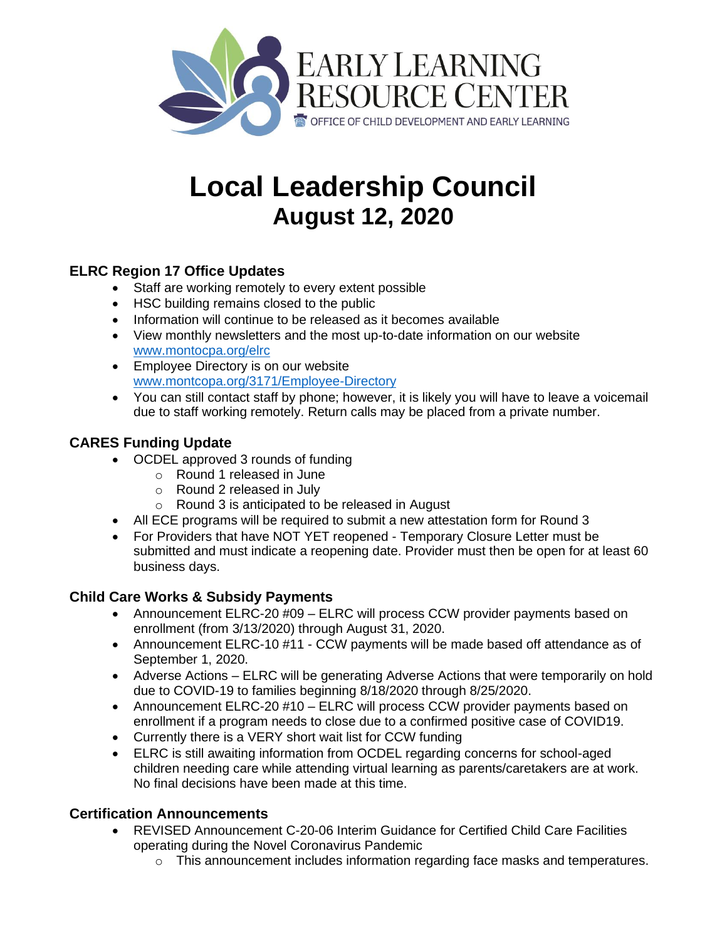

# **Local Leadership Council August 12, 2020**

# **ELRC Region 17 Office Updates**

- Staff are working remotely to every extent possible
- HSC building remains closed to the public
- Information will continue to be released as it becomes available
- View monthly newsletters and the most up-to-date information on our website [www.montocpa.org/elrc](http://www.montocpa.org/elrc)
- Employee Directory is on our website [www.montcopa.org/3171/Employee-Directory](http://www.montcopa.org/3171/Employee-Directory)
- You can still contact staff by phone; however, it is likely you will have to leave a voicemail due to staff working remotely. Return calls may be placed from a private number.

# **CARES Funding Update**

- OCDEL approved 3 rounds of funding
	- o Round 1 released in June
	- o Round 2 released in July
	- o Round 3 is anticipated to be released in August
- All ECE programs will be required to submit a new attestation form for Round 3
- For Providers that have NOT YET reopened Temporary Closure Letter must be submitted and must indicate a reopening date. Provider must then be open for at least 60 business days.

## **Child Care Works & Subsidy Payments**

- Announcement ELRC-20 #09 ELRC will process CCW provider payments based on enrollment (from 3/13/2020) through August 31, 2020.
- Announcement ELRC-10 #11 CCW payments will be made based off attendance as of September 1, 2020.
- Adverse Actions ELRC will be generating Adverse Actions that were temporarily on hold due to COVID-19 to families beginning 8/18/2020 through 8/25/2020.
- Announcement ELRC-20 #10 ELRC will process CCW provider payments based on enrollment if a program needs to close due to a confirmed positive case of COVID19.
- Currently there is a VERY short wait list for CCW funding
- ELRC is still awaiting information from OCDEL regarding concerns for school-aged children needing care while attending virtual learning as parents/caretakers are at work. No final decisions have been made at this time.

## **Certification Announcements**

- REVISED Announcement C-20-06 Interim Guidance for Certified Child Care Facilities operating during the Novel Coronavirus Pandemic
	- $\circ$  This announcement includes information regarding face masks and temperatures.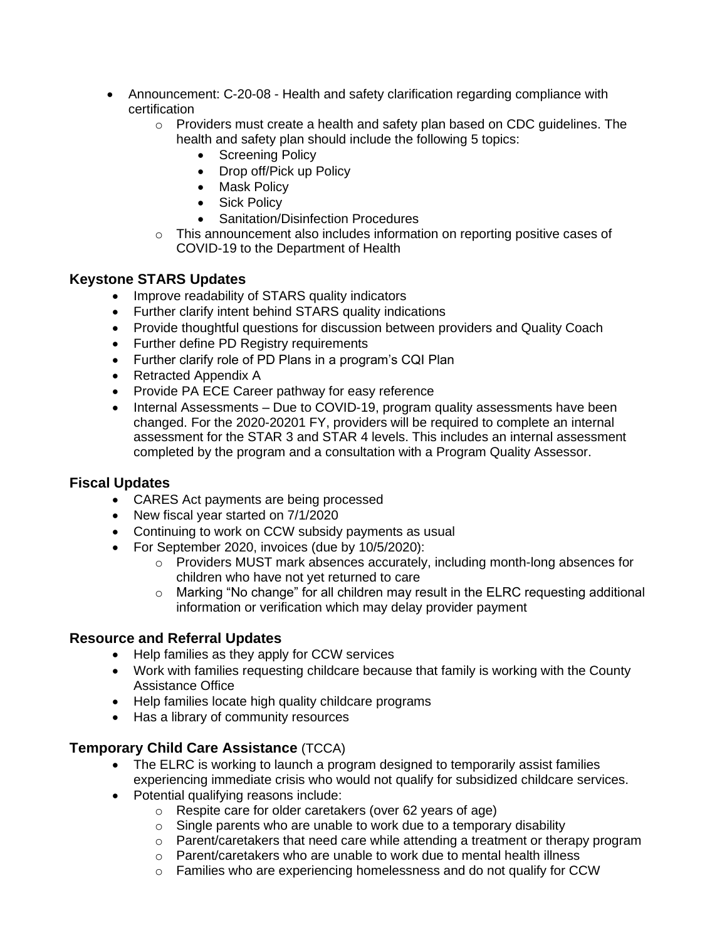- Announcement: C-20-08 Health and safety clarification regarding compliance with certification
	- o Providers must create a health and safety plan based on CDC guidelines. The health and safety plan should include the following 5 topics:
		- Screening Policy
		- Drop off/Pick up Policy
		- Mask Policy
		- Sick Policy
		- Sanitation/Disinfection Procedures
	- $\circ$  This announcement also includes information on reporting positive cases of COVID-19 to the Department of Health

#### **Keystone STARS Updates**

- Improve readability of STARS quality indicators
- Further clarify intent behind STARS quality indications
- Provide thoughtful questions for discussion between providers and Quality Coach
- Further define PD Registry requirements
- Further clarify role of PD Plans in a program's CQI Plan
- Retracted Appendix A
- Provide PA ECE Career pathway for easy reference
- Internal Assessments Due to COVID-19, program quality assessments have been changed. For the 2020-20201 FY, providers will be required to complete an internal assessment for the STAR 3 and STAR 4 levels. This includes an internal assessment completed by the program and a consultation with a Program Quality Assessor.

#### **Fiscal Updates**

- CARES Act payments are being processed
- New fiscal year started on 7/1/2020
- Continuing to work on CCW subsidy payments as usual
- For September 2020, invoices (due by 10/5/2020):
	- o Providers MUST mark absences accurately, including month-long absences for children who have not yet returned to care
	- o Marking "No change" for all children may result in the ELRC requesting additional information or verification which may delay provider payment

#### **Resource and Referral Updates**

- Help families as they apply for CCW services
- Work with families requesting childcare because that family is working with the County Assistance Office
- Help families locate high quality childcare programs
- Has a library of community resources

#### **Temporary Child Care Assistance** (TCCA)

- The ELRC is working to launch a program designed to temporarily assist families experiencing immediate crisis who would not qualify for subsidized childcare services.
- Potential qualifying reasons include:
	- o Respite care for older caretakers (over 62 years of age)
	- $\circ$  Single parents who are unable to work due to a temporary disability
	- $\circ$  Parent/caretakers that need care while attending a treatment or therapy program
	- o Parent/caretakers who are unable to work due to mental health illness
	- $\circ$  Families who are experiencing homelessness and do not qualify for CCW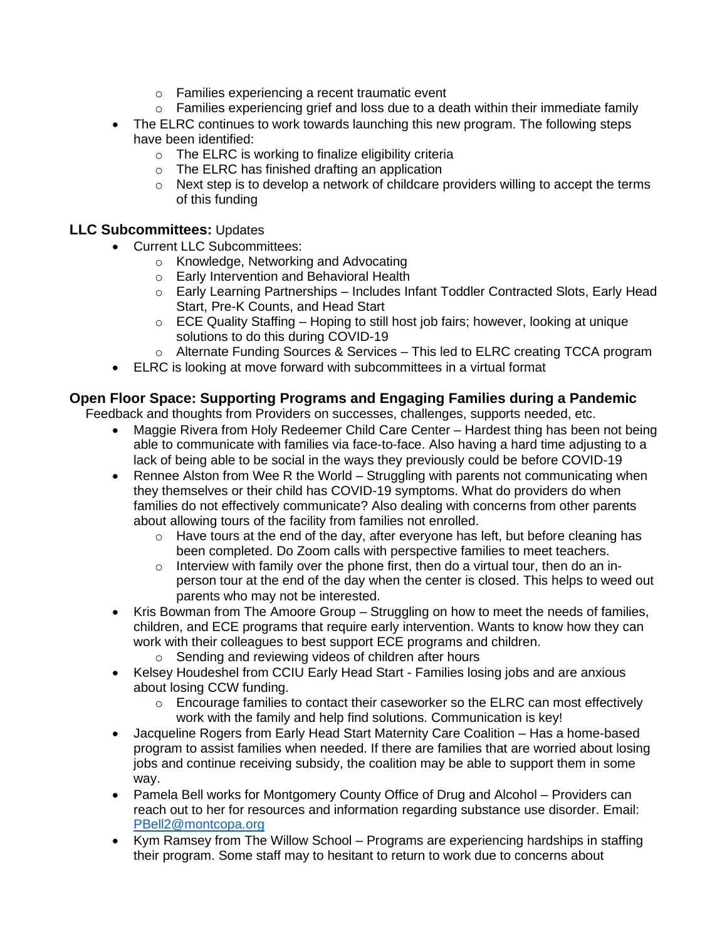- o Families experiencing a recent traumatic event
- $\circ$  Families experiencing grief and loss due to a death within their immediate family
- The ELRC continues to work towards launching this new program. The following steps have been identified:
	- o The ELRC is working to finalize eligibility criteria
	- o The ELRC has finished drafting an application
	- o Next step is to develop a network of childcare providers willing to accept the terms of this funding

#### **LLC Subcommittees:** Updates

- Current LLC Subcommittees:
	- o Knowledge, Networking and Advocating
	- o Early Intervention and Behavioral Health
	- $\circ$  Early Learning Partnerships Includes Infant Toddler Contracted Slots, Early Head Start, Pre-K Counts, and Head Start
	- $\circ$  ECE Quality Staffing Hoping to still host job fairs; however, looking at unique solutions to do this during COVID-19
	- o Alternate Funding Sources & Services This led to ELRC creating TCCA program
- ELRC is looking at move forward with subcommittees in a virtual format

#### **Open Floor Space: Supporting Programs and Engaging Families during a Pandemic**

Feedback and thoughts from Providers on successes, challenges, supports needed, etc.

- Maggie Rivera from Holy Redeemer Child Care Center Hardest thing has been not being able to communicate with families via face-to-face. Also having a hard time adjusting to a lack of being able to be social in the ways they previously could be before COVID-19
- Rennee Alston from Wee R the World Struggling with parents not communicating when they themselves or their child has COVID-19 symptoms. What do providers do when families do not effectively communicate? Also dealing with concerns from other parents about allowing tours of the facility from families not enrolled.
	- $\circ$  Have tours at the end of the day, after everyone has left, but before cleaning has been completed. Do Zoom calls with perspective families to meet teachers.
	- $\circ$  Interview with family over the phone first, then do a virtual tour, then do an inperson tour at the end of the day when the center is closed. This helps to weed out parents who may not be interested.
- Kris Bowman from The Amoore Group Struggling on how to meet the needs of families, children, and ECE programs that require early intervention. Wants to know how they can work with their colleagues to best support ECE programs and children.
	- o Sending and reviewing videos of children after hours
- Kelsey Houdeshel from CCIU Early Head Start Families losing jobs and are anxious about losing CCW funding.
	- $\circ$  Encourage families to contact their caseworker so the ELRC can most effectively work with the family and help find solutions. Communication is key!
- Jacqueline Rogers from Early Head Start Maternity Care Coalition Has a home-based program to assist families when needed. If there are families that are worried about losing jobs and continue receiving subsidy, the coalition may be able to support them in some way.
- Pamela Bell works for Montgomery County Office of Drug and Alcohol Providers can reach out to her for resources and information regarding substance use disorder. Email: [PBell2@montcopa.org](mailto:PBell2@montcopa.org)
- Kym Ramsey from The Willow School Programs are experiencing hardships in staffing their program. Some staff may to hesitant to return to work due to concerns about